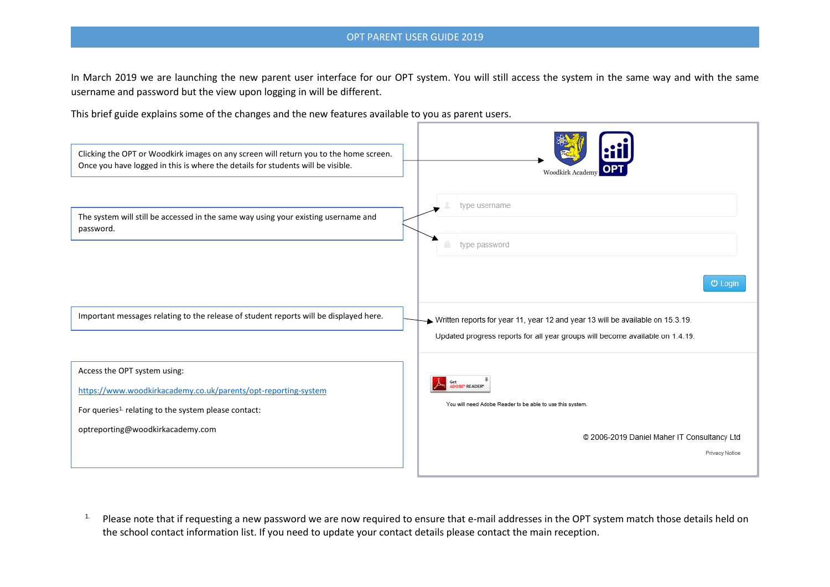## OPT PARENT USER GUIDE 2019

In March 2019 we are launching the new parent user interface for our OPT system. You will still access the system in the same way and with the same username and password but the view upon logging in will be different.

This brief guide explains some of the changes and the new features available to you as parent users.



<sup>1.</sup> Please note that if requesting a new password we are now required to ensure that e-mail addresses in the OPT system match those details held on the school contact information list. If you need to update your contact details please contact the main reception.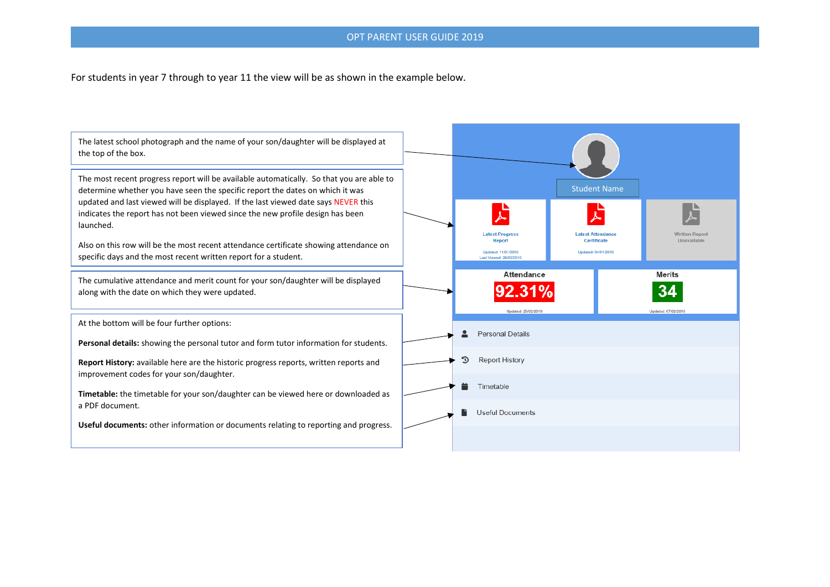## OPT PARENT USER GUIDE 2019

For students in year 7 through to year 11 the view will be as shown in the example below.